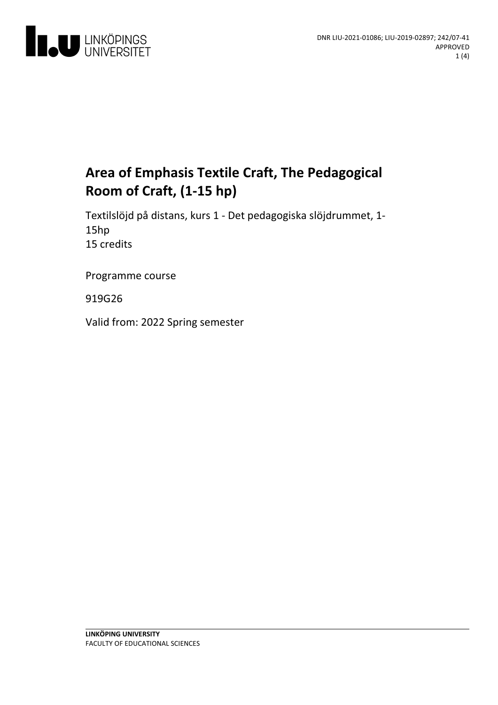

# **Area ofEmphasis Textile Craft, The Pedagogical Room of Craft, (1-15 hp)**

Textilslöjd på distans, kurs 1 - Det pedagogiska slöjdrummet, 1-<br>15hp 15 credits

Programme course

919G26

Valid from: 2022 Spring semester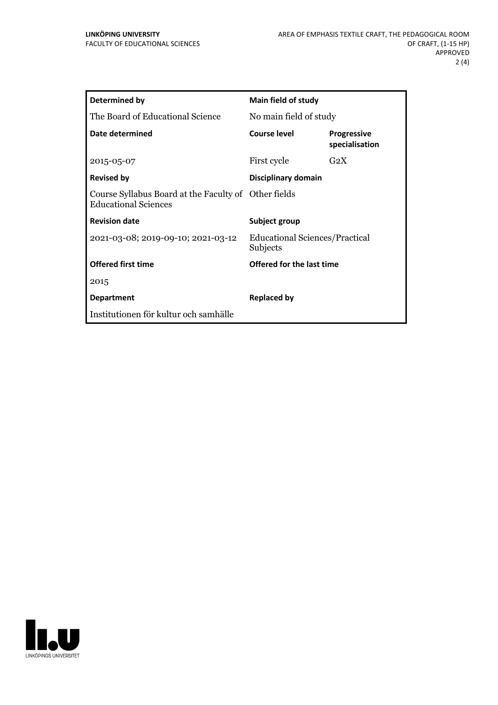| Determined by                                                                       | Main field of study                        |                                      |
|-------------------------------------------------------------------------------------|--------------------------------------------|--------------------------------------|
| The Board of Educational Science                                                    | No main field of study                     |                                      |
| Date determined                                                                     | Course level                               | <b>Progressive</b><br>specialisation |
| 2015-05-07                                                                          | First cycle                                | G <sub>2</sub> X                     |
| <b>Revised by</b>                                                                   | Disciplinary domain                        |                                      |
| Course Syllabus Board at the Faculty of Other fields<br><b>Educational Sciences</b> |                                            |                                      |
| <b>Revision date</b>                                                                | Subject group                              |                                      |
| 2021-03-08; 2019-09-10; 2021-03-12                                                  | Educational Sciences/Practical<br>Subjects |                                      |
| <b>Offered first time</b>                                                           | Offered for the last time                  |                                      |
| 2015                                                                                |                                            |                                      |
| <b>Department</b>                                                                   | <b>Replaced by</b>                         |                                      |
| Institutionen för kultur och samhälle                                               |                                            |                                      |

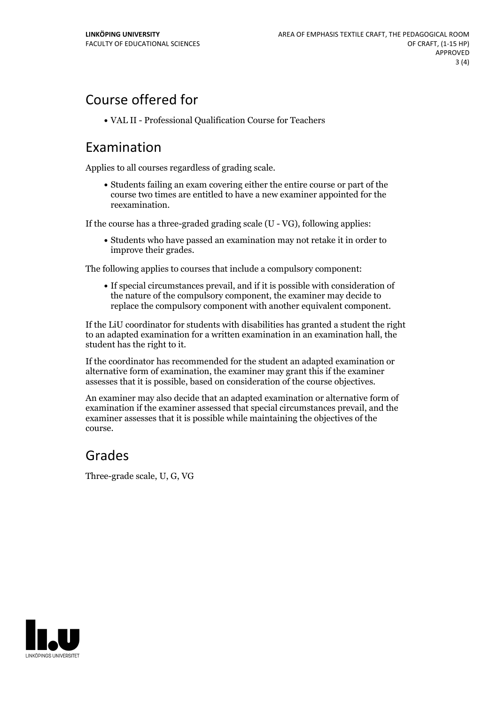# Course offered for

VAL II -Professional Qualification Course for Teachers

#### Examination

Applies to all courses regardless of grading scale.

Students failing an exam covering either the entire course or part of the course two times are entitled to have a new examiner appointed for the reexamination.

If the course has a three-graded grading scale (U - VG), following applies:

Students who have passed an examination may not retake it in order to improve their grades.

The following applies to courses that include a compulsory component:

If special circumstances prevail, and if it is possible with consideration of the nature of the compulsory component, the examiner may decide to replace the compulsory component with another equivalent component.

If the LiU coordinator for students with disabilities has granted a student the right to an adapted examination for a written examination in an examination hall, the student has the right to it.

If the coordinator has recommended for the student an adapted examination or alternative form of examination, the examiner may grant this if the examiner assesses that it is possible, based on consideration of the course objectives.

An examiner may also decide that an adapted examination or alternative form of examination if the examiner assessed that special circumstances prevail, and the examiner assesses that it is possible while maintaining the objectives of the course.

### Grades

Three-grade scale, U, G, VG